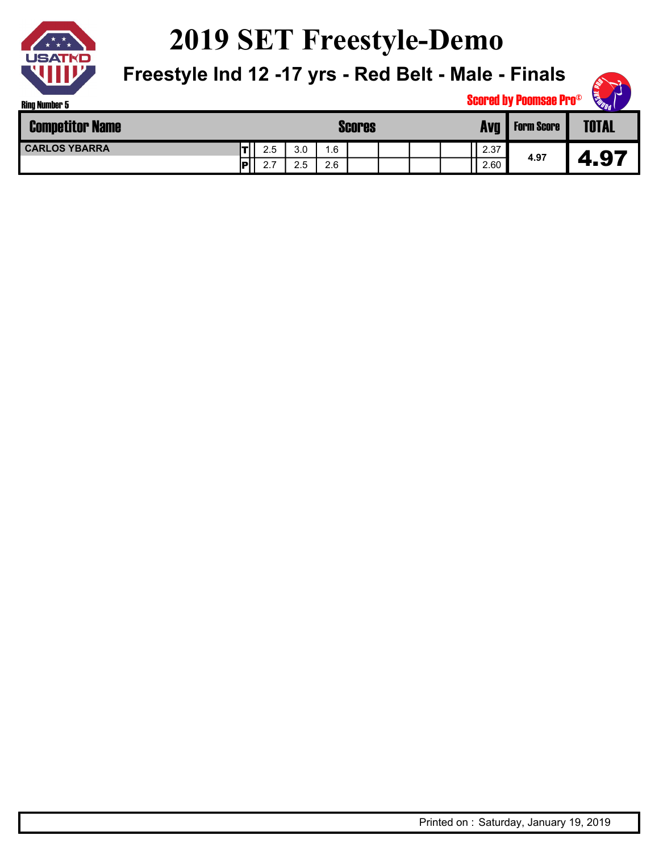

## **2019 SET Freestyle-Demo**

**Freestyle Ind 12 -17 yrs - Red Belt - Male - Finals**



| <b>Competitor Name</b> |            |                         |     | Scores | <b>Form Score</b> | <b>TOTAL</b> |      |      |      |
|------------------------|------------|-------------------------|-----|--------|-------------------|--------------|------|------|------|
| <b>CARLOS YBARRA</b>   | TI)        | 2.5                     | 3.0 | 1.6    |                   |              | 2.37 | 4.97 |      |
|                        | IPI<br>1 H | $\sim$ $\sim$<br>$\sim$ | 2.5 | 2.6    |                   |              | 2.60 |      | 4.97 |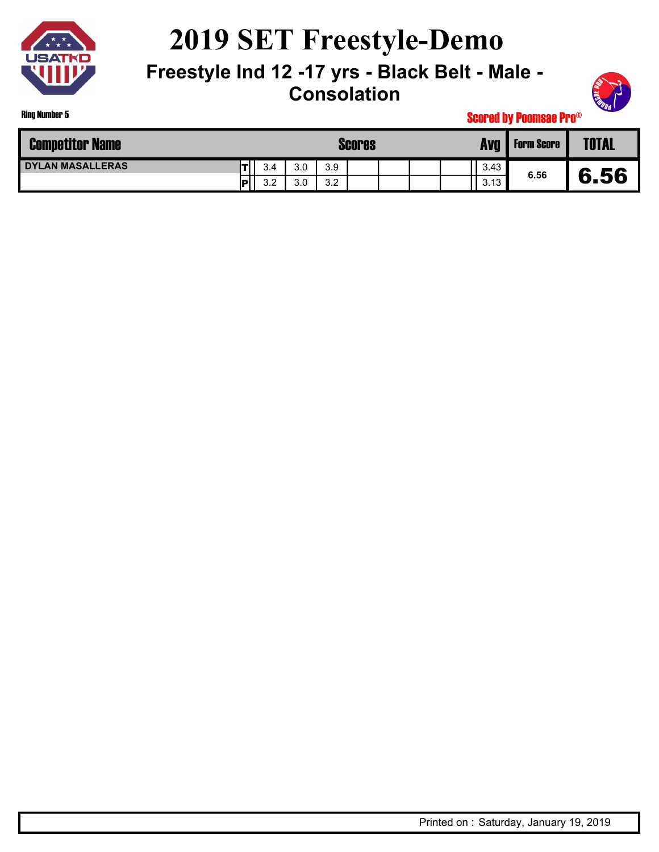

Ring Number 5

# **2019 SET Freestyle-Demo**

**Freestyle Ind 12 -17 yrs - Black Belt - Male - Consolation**



| <b>Competitor Name</b> |     |     | <b>Scores</b> | <b>Form Score</b> | <b>TOTAL</b> |      |      |      |
|------------------------|-----|-----|---------------|-------------------|--------------|------|------|------|
| I DYLAN MASALLERAS     | 3.4 | 3.0 | 3.9           |                   |              | 3.43 | 6.56 |      |
|                        | 3.2 | 3.0 | 3.2           |                   |              | 3.13 |      | 6.56 |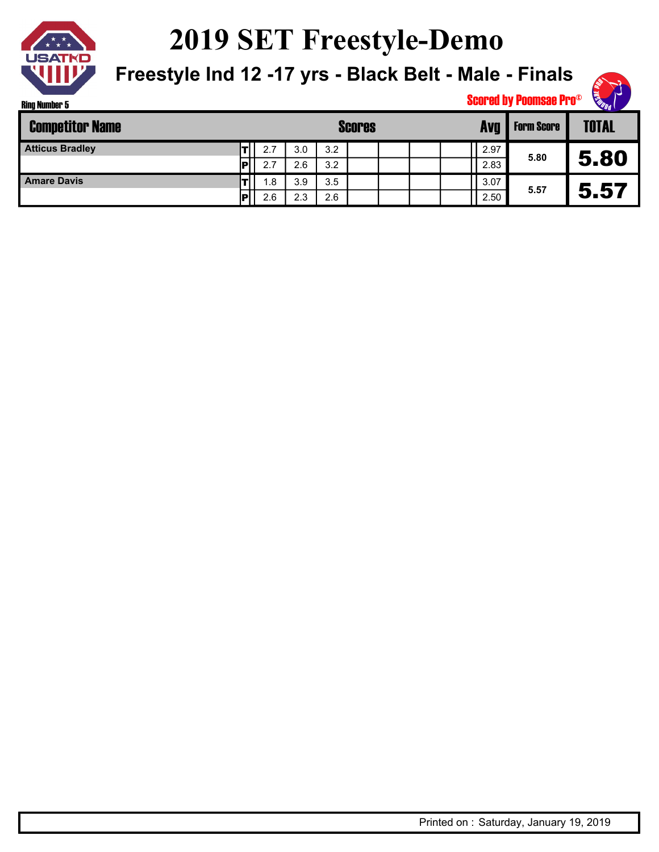

**2019 SET Freestyle-Demo**

**Freestyle Ind 12 -17 yrs - Black Belt - Male - Finals**



| <b>Competitor Name</b> |   |     |     | <b>Scores</b> | <b>Form Score</b> | <b>TOTAL</b> |      |      |      |
|------------------------|---|-----|-----|---------------|-------------------|--------------|------|------|------|
| <b>Atticus Bradley</b> |   | 2.7 | 3.0 | 3.2           |                   |              | 2.97 | 5.80 |      |
|                        | D | 2.7 | 2.6 | 3.2           |                   |              | 2.83 |      | 5.80 |
| <b>Amare Davis</b>     |   | 1.8 | 3.9 | 3.5           |                   |              | 3.07 | 5.57 |      |
|                        | Þ | 2.6 | 2.3 | 2.6           |                   |              | 2.50 |      | 5.57 |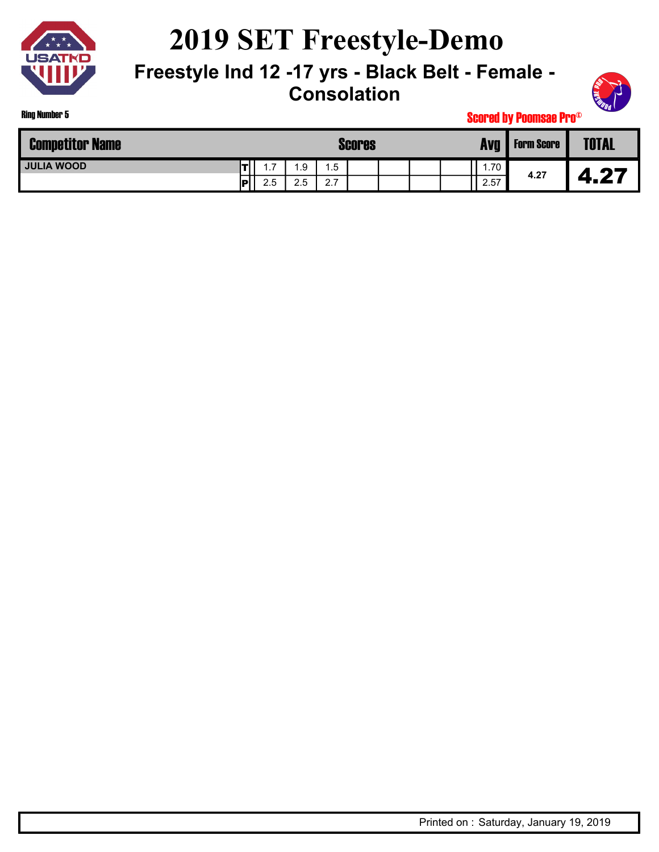

Ring Number 5

# **2019 SET Freestyle-Demo**

#### **Freestyle Ind 12 -17 yrs - Black Belt - Female - Consolation**



| <b>Competitor Name</b> |     |     |                      | Scores                             | <b>Form Score</b> | <b>TOTAL</b> |      |      |             |
|------------------------|-----|-----|----------------------|------------------------------------|-------------------|--------------|------|------|-------------|
| <b>JULIA WOOD</b>      |     | -   | .9                   | 1.5                                |                   |              | 1.70 | 4.27 |             |
|                        | IPI | 2.5 | $\sim$ $\sim$<br>2.5 | $\sim$ $\rightarrow$<br>$\sim$ . 1 |                   |              | 2.57 |      | 46 L<br>. . |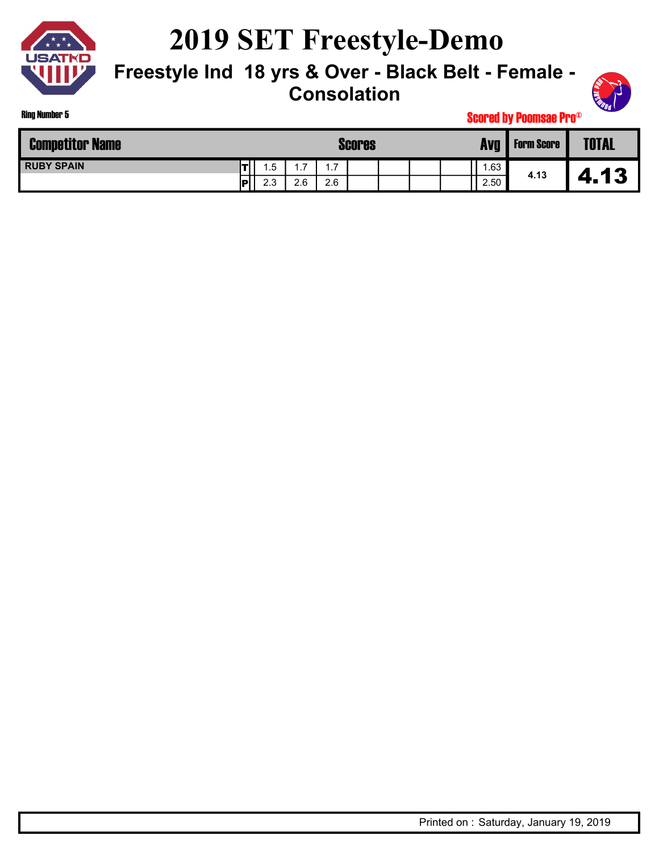

Ring Number 5

## **2019 SET Freestyle-Demo**

#### **Freestyle Ind 18 yrs & Over - Black Belt - Female - Consolation**



| <b>Competitor Name</b> |     |     |                      | Scores              | <b>Form Score</b> | <b>TOTAL</b> |      |      |                |
|------------------------|-----|-----|----------------------|---------------------|-------------------|--------------|------|------|----------------|
| <b>RUBY SPAIN</b>      |     | .5  | $\rightarrow$<br>. . | $\overline{7}$<br>. |                   |              | .63  | 4.13 |                |
|                        | IPI | 2.3 | 2.6                  | 2.6                 |                   |              | 2.50 |      | 13<br>Д<br>fr. |